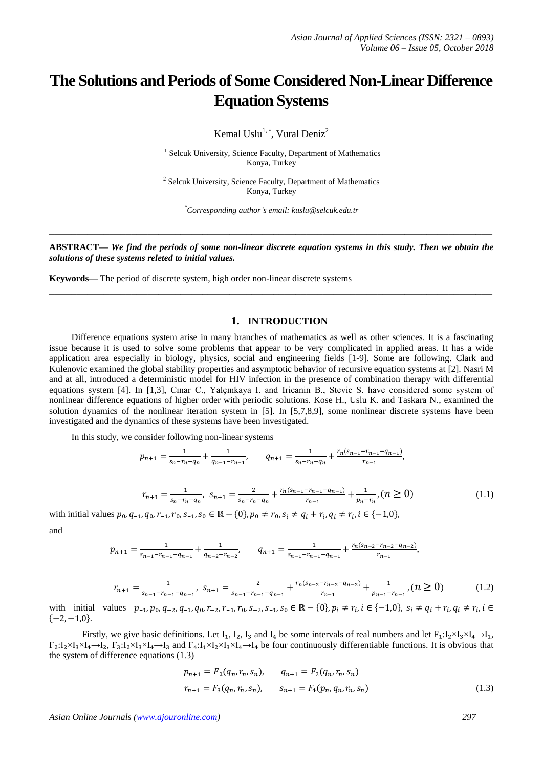## **The Solutions and Periods of Some Considered Non-Linear Difference Equation Systems**

Kemal Uslu<sup>1, \*</sup>, Vural Deniz<sup>2</sup>

<sup>1</sup> Selcuk University, Science Faculty, Department of Mathematics Konya, Turkey

<sup>2</sup> Selcuk University, Science Faculty, Department of Mathematics Konya, Turkey

*\*Corresponding author's email: kuslu@selcuk.edu.tr*

**ABSTRACT—** *We find the periods of some non-linear discrete equation systems in this study. Then we obtain the solutions of these systems releted to initial values.*

**\_\_\_\_\_\_\_\_\_\_\_\_\_\_\_\_\_\_\_\_\_\_\_\_\_\_\_\_\_\_\_\_\_\_\_\_\_\_\_\_\_\_\_\_\_\_\_\_\_\_\_\_\_\_\_\_\_\_\_\_\_\_\_\_\_\_\_\_\_\_\_\_\_\_\_\_\_\_\_\_\_**

**\_\_\_\_\_\_\_\_\_\_\_\_\_\_\_\_\_\_\_\_\_\_\_\_\_\_\_\_\_\_\_\_\_\_\_\_\_\_\_\_\_\_\_\_\_\_\_\_\_\_\_\_\_\_\_\_\_\_\_\_\_\_\_\_\_\_\_\_\_\_\_\_\_\_\_\_\_\_\_\_\_**

**Keywords—** The period of discrete system, high order non-linear discrete systems

## **1. INTRODUCTION**

 Difference equations system arise in many branches of mathematics as well as other sciences. It is a fascinating issue because it is used to solve some problems that appear to be very complicated in applied areas. It has a wide application area especially in biology, physics, social and engineering fields [1-9]. Some are following. Clark and Kulenovic examined the global stability properties and asymptotic behavior of recursive equation systems at [2]. Nasri M and at all, introduced a deterministic model for HIV infection in the presence of combination therapy with differential equations system [4]. In [1,3], Cınar C., Yalçınkaya I. and Iricanin B., Stevic S. have considered some system of nonlinear difference equations of higher order with periodic solutions. Kose H., Uslu K. and Taskara N., examined the solution dynamics of the nonlinear iteration system in [5]. In [5,7,8,9], some nonlinear discrete systems have been investigated and the dynamics of these systems have been investigated.

In this study, we consider following non-linear systems

$$
p_{n+1} = \frac{1}{s_n - r_n - q_n} + \frac{1}{q_{n-1} - r_{n-1}}, \qquad q_{n+1} = \frac{1}{s_n - r_n - q_n} + \frac{r_n(s_{n-1} - r_{n-1} - q_{n-1})}{r_{n-1}},
$$

$$
r_{n+1} = \frac{1}{s_n - r_n - q_n}, \ s_{n+1} = \frac{2}{s_n - r_n - q_n} + \frac{r_n(s_{n-1} - r_{n-1} - q_{n-1})}{r_{n-1}} + \frac{1}{p_n - r_n}, (n \ge 0)
$$
\n(1.1)

with initial values  $p_0, q_{-1}, q_0, r_{-1}, r_0, s_{-1}, s_0 \in \mathbb{R} - \{0\}, p_0 \neq r_0, s_i \neq q_i + r_i, q_i \neq r_i$ 

and

$$
p_{n+1} = \frac{1}{s_{n-1} - r_{n-1} - q_{n-1}} + \frac{1}{q_{n-2} - r_{n-2}}, \qquad q_{n+1} = \frac{1}{s_{n-1} - r_{n-1} - q_{n-1}} + \frac{r_n(s_{n-2} - r_{n-2} - q_{n-2})}{r_{n-1}},
$$

$$
r_{n+1} = \frac{1}{s_{n-1} - r_{n-1} - q_{n-1}}, \quad s_{n+1} = \frac{2}{s_{n-1} - r_{n-1} - q_{n-1}} + \frac{r_n(s_{n-2} - r_{n-2} - q_{n-2})}{r_{n-1}} + \frac{1}{p_{n-1} - r_{n-1}}, \quad (n \ge 0)
$$
(1.2)

with initial values  $p_{-1}, p_0, q_{-2}, q_{-1}, q_0, r_{-2}, r_{-1}, r_0, s_{-2}, s_{-1}, s_0 \in \mathbb{R} - \{0\}, p_i \neq r_i, i \in \{-1, 0\}, s_i \neq q_i + r_i, q_i \neq r_i$  $\{-2, -1, 0\}.$ 

Firstly, we give basic definitions. Let  $I_1$ ,  $I_2$ ,  $I_3$  and  $I_4$  be some intervals of real numbers and let  $F_1: I_2 \times I_3 \times I_4 \rightarrow I_1$ ,  $F_2:I_2\times I_3\times I_4\rightarrow I_2$ ,  $F_3:I_2\times I_3\times I_4\rightarrow I_3$  and  $F_4:I_1\times I_2\times I_3\times I_4\rightarrow I_4$  be four continuously differentiable functions. It is obvious that the system of difference equations (1.3)

$$
p_{n+1} = F_1(q_n, r_n, s_n), \qquad q_{n+1} = F_2(q_n, r_n, s_n)
$$
  
\n
$$
r_{n+1} = F_3(q_n, r_n, s_n), \qquad s_{n+1} = F_4(p_n, q_n, r_n, s_n)
$$
 (1.3)

*Asian Online Journals (www.ajouronline.com) 297*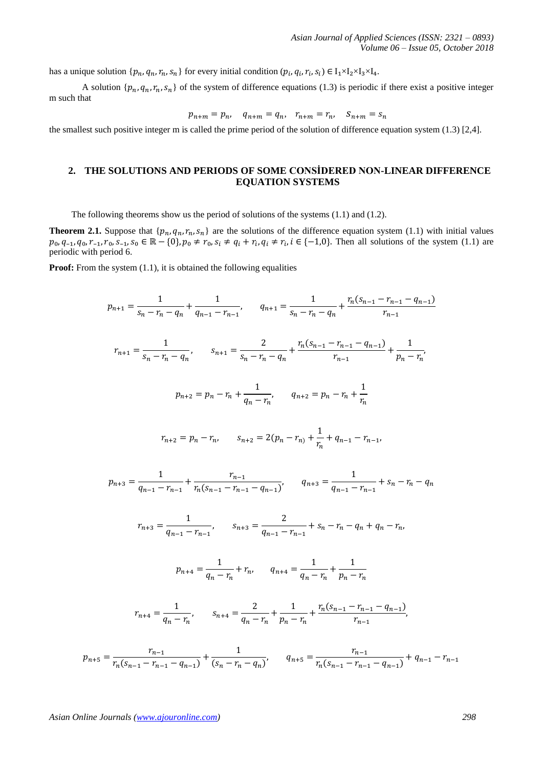has a unique solution  $\{p_n, q_n, r_n, s_n\}$  for every initial condition  $(p_i, q_i, r_i, s_i) \in I_1 \times I_2 \times I_3 \times I_4$ .

A solution  $\{p_n, q_n, r_n, s_n\}$  of the system of difference equations (1.3) is periodic if there exist a positive integer m such that

$$
p_{n+m} = p_n, \quad q_{n+m} = q_n, \quad r_{n+m} = r_n, \quad S_{n+m} = s_n
$$

the smallest such positive integer m is called the prime period of the solution of difference equation system (1.3) [2,4].

## **2. THE SOLUTIONS AND PERIODS OF SOME CONSİDERED NON-LINEAR DIFFERENCE EQUATION SYSTEMS**

The following theorems show us the period of solutions of the systems (1.1) and (1.2).

**Theorem 2.1.** Suppose that  $\{p_n, q_n, r_n, s_n\}$  are the solutions of the difference equation system (1.1) with initial values  $p_0, q_{-1}, q_0, r_{-1}, r_0, s_{-1}, s_0 \in \mathbb{R} - \{0\}, p_0 \neq r_0, s_i \neq q_i + r_i, q_i \neq r_i, i \in \{-1, 0\}.$  Then all solutions of the system (1.1) are periodic with period 6.

**Proof:** From the system (1.1), it is obtained the following equalities

$$
p_{n+1} = \frac{1}{s_n - r_n - q_n} + \frac{1}{q_{n-1} - r_{n-1}}, \qquad q_{n+1} = \frac{1}{s_n - r_n - q_n} + \frac{r_n(s_{n-1} - r_{n-1} - q_{n-1})}{r_{n-1}}
$$
  
\n
$$
r_{n+1} = \frac{1}{s_n - r_n - q_n}, \qquad s_{n+1} = \frac{2}{s_n - r_n - q_n} + \frac{r_n(s_{n-1} - r_{n-1} - q_{n-1})}{r_{n-1}} + \frac{1}{p_n - r_n},
$$
  
\n
$$
p_{n+2} = p_n - r_n + \frac{1}{q_n - r_n}, \qquad q_{n+2} = p_n - r_n + \frac{1}{r_n}
$$
  
\n
$$
r_{n+2} = p_n - r_n, \qquad s_{n+2} = 2(p_n - r_n) + \frac{1}{r_n} + q_{n-1} - r_{n-1},
$$
  
\n
$$
p_{n+3} = \frac{1}{q_{n-1} - r_{n-1}} + \frac{r_{n-1}}{r_n(s_{n-1} - r_{n-1} - q_{n-1})}, \qquad q_{n+3} = \frac{1}{q_{n-1} - r_{n-1}} + s_n - r_n - q_n
$$
  
\n
$$
r_{n+4} = \frac{1}{q_{n-1} - r_{n-1}}, \qquad s_{n+3} = \frac{2}{q_{n-1} - r_{n-1}} + s_n - r_n - q_n + q_n - r_n,
$$
  
\n
$$
p_{n+4} = \frac{1}{q_n - r_n} + r_n, \qquad q_{n+4} = \frac{1}{q_n - r_n} + \frac{1}{p_n - r_n}
$$
  
\n
$$
r_{n+4} = \frac{1}{q_n - r_n}, \qquad s_{n+4} = \frac{2}{q_n - r_n} + \frac{1}{p_n - r_n} + \frac{r_n(s_{n-1} - r_{n-1} - q_{n-1})}{r_{n-1}},
$$
  
\n
$$
s = \frac{r_{n-1}}{r_n(s_{n-1} - r_{n-1} - q_{n-1})} + \frac{1}{(s_n - r_n - q_n)}, \qquad q_{n+5} = \frac{r_{n-1}}{r_n(s
$$

 $p_{n+}$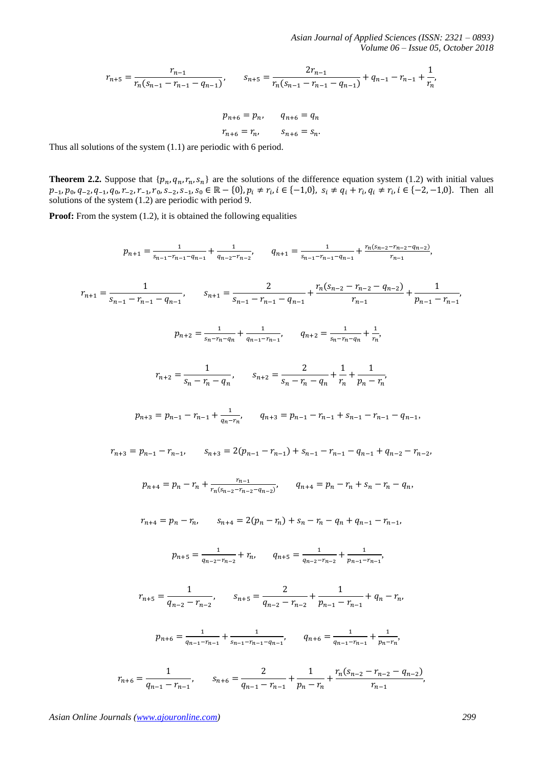*Asian Journal of Applied Sciences (ISSN: 2321 – 0893) Volume 06 – Issue 05, October 2018*

$$
r_{n+5} = \frac{r_{n-1}}{r_n(s_{n-1} - r_{n-1} - q_{n-1})}, \qquad s_{n+5} = \frac{2r_{n-1}}{r_n(s_{n-1} - r_{n-1} - q_{n-1})} + q_{n-1} - r_{n-1} + \frac{1}{r_n},
$$

$$
p_{n+6} = p_n, \qquad q_{n+6} = q_n
$$

 $r_{n+6} = r_n$ ,  $s_{n+6} = s_n$ .

Thus all solutions of the system (1.1) are periodic with 6 period.

**Theorem 2.2.** Suppose that  $\{p_n, q_n, r_n, s_n\}$  are the solutions of the difference equation system (1.2) with initial values  $p_{-1}, p_0, q_{-2}, q_{-1}, q_0, r_{-2}, r_{-1}, r_0, s_{-2}, s_{-1}, s_0 \in \mathbb{R} - \{0\}, p_i \neq r_i, i \in \{-1, 0\}, s_i \neq q_i + r_i, q_i \neq r_i, i \in \{-2, -1, 0\}.$  Then all solutions of the system (1.2) are periodic with period 9.

**Proof:** From the system (1.2), it is obtained the following equalities

$$
p_{n+1} = \frac{1}{s_{n-1} - r_{n-1} - q_{n-1}} + \frac{1}{q_{n-2} - r_{n-2}}, \qquad q_{n+1} = \frac{1}{s_{n-1} - r_{n-1} - q_{n-1}} + \frac{r_{n}(s_{n-2} - r_{n-2} - q_{n-2})}{r_{n-1}},
$$
\n
$$
r_{n+1} = \frac{1}{s_{n-1} - r_{n-1} - q_{n-1}}, \qquad s_{n+1} = \frac{2}{s_{n-1} - r_{n-1} - q_{n-1}} + \frac{r_{n}(s_{n-2} - r_{n-2} - q_{n-2})}{r_{n-1} - r_{n-1}} + \frac{1}{p_{n-1} - r_{n-1}},
$$
\n
$$
p_{n+2} = \frac{1}{s_{n} - r_{n} - q_{n}}, \qquad s_{n+2} = \frac{2}{s_{n} - r_{n} - q_{n}} + \frac{1}{r_{n}},
$$
\n
$$
r_{n+2} = \frac{1}{s_{n} - r_{n} - q_{n}}, \qquad s_{n+2} = \frac{2}{s_{n} - r_{n} - q_{n}} + \frac{1}{r_{n}} + \frac{1}{p_{n} - r_{n}},
$$
\n
$$
p_{n+3} = p_{n-1} - r_{n-1} + \frac{1}{q_{n} - r_{n}}, \qquad q_{n+3} = p_{n-1} - r_{n-1} + s_{n-1} - r_{n-1} - q_{n-1},
$$
\n
$$
r_{n+3} = p_{n-1} - r_{n-1}, \qquad s_{n+3} = 2(p_{n-1} - r_{n-1}) + s_{n-1} - r_{n-1} - q_{n-1} + q_{n-2} - r_{n-2},
$$
\n
$$
p_{n+4} = p_{n} - r_{n} + \frac{r_{n-1}}{r_{n}(s_{n-2} - r_{n-2} - q_{n-2})}, \qquad q_{n+4} = p_{n} - r_{n} + s_{n} - r_{n} - q_{n},
$$
\n
$$
r_{n+4} = p_{n} - r_{n}, \qquad s_{n+4} = 2(p_{n} - r_{n}) + s_{n} - r_{n} - q_{
$$

$$
r_{n+6} = \frac{1}{q_{n-1} - r_{n-1}}, \qquad s_{n+6} = \frac{2}{q_{n-1} - r_{n-1}} + \frac{1}{p_n - r_n} + \frac{r_n(s_{n-2} - r_{n-2} - q_{n-2})}{r_{n-1}},
$$

*Asian Online Journals (www.ajouronline.com) 299*